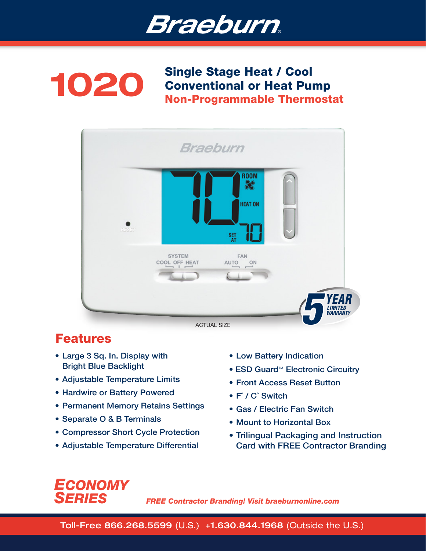



Single Stage Heat / Cool<br>Conventional or Heat Pu Conventional or Heat Pump Non-Programmable Thermostat



# Features

- Large 3 Sq. In. Display with Bright Blue Backlight
- Adjustable Temperature Limits
- Hardwire or Battery Powered
- Permanent Memory Retains Settings
- Separate O & B Terminals
- Compressor Short Cycle Protection
- Adjustable Temperature Differential
- Low Battery Indication
- ESD Guard<sup>™</sup> Electronic Circuitry
- Front Access Reset Button
- F˚ / C˚ Switch
- Gas / Electric Fan Switch
- Mount to Horizontal Box
- Trilingual Packaging and Instruction Card with FREE Contractor Branding



*FREE Contractor Branding! Visit braeburnonline.com*

Toll-Free 866.268.5599 (U.S.) +1.630.844.1968 (Outside the U.S.)